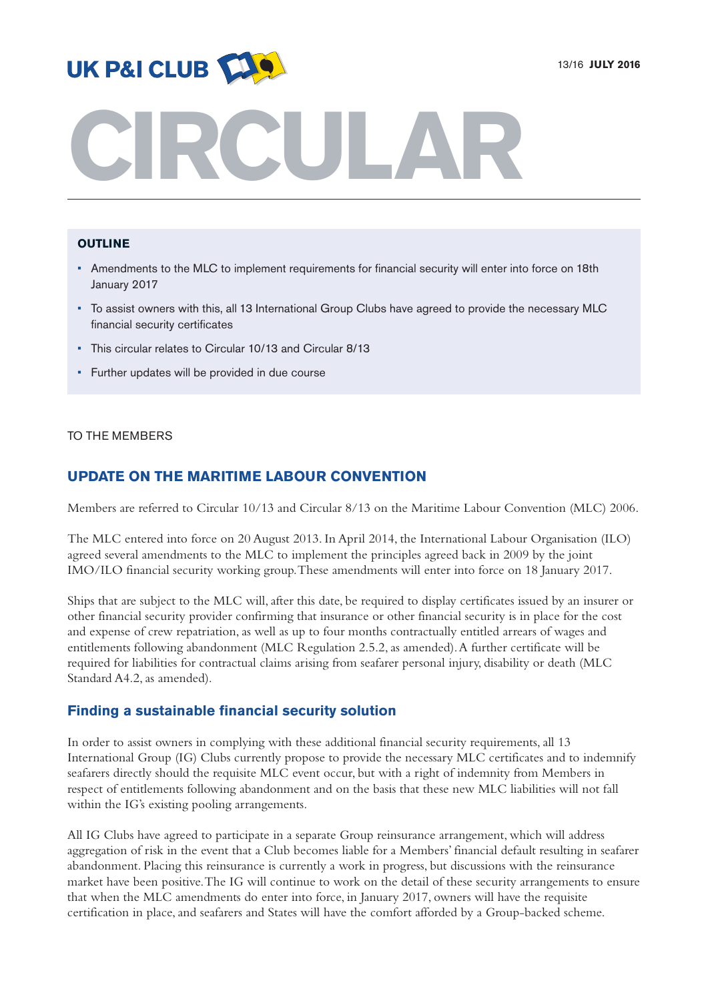

# **CIRCULAR**

## **OUTLINE**

- Amendments to the MLC to implement requirements for financial security will enter into force on 18th January 2017
- To assist owners with this, all 13 International Group Clubs have agreed to provide the necessary MLC financial security certificates
- This circular relates to Circular 10/13 and Circular 8/13
- Further updates will be provided in due course

## TO THE MEMBERS

# **UPDATE ON THE MARITIME LABOUR CONVENTION**

Members are referred to Circular 10/13 and Circular 8/13 on the Maritime Labour Convention (MLC) 2006.

The MLC entered into force on 20 August 2013. In April 2014, the International Labour Organisation (ILO) agreed several amendments to the MLC to implement the principles agreed back in 2009 by the joint IMO/ILO financial security working group.These amendments will enter into force on 18 January 2017.

Ships that are subject to the MLC will, after this date, be required to display certificates issued by an insurer or other financial security provider confirming that insurance or other financial security is in place for the cost and expense of crew repatriation, as well as up to four months contractually entitled arrears of wages and entitlements following abandonment (MLC Regulation 2.5.2, as amended). A further certificate will be required for liabilities for contractual claims arising from seafarer personal injury, disability or death (MLC Standard A4.2, as amended).

## **Finding a sustainable financial security solution**

In order to assist owners in complying with these additional financial security requirements,all 13 International Group (IG) Clubs currently propose to provide the necessary MLC certificates and to indemnify seafarers directly should the requisite MLC event occur, but with a right of indemnity from Members in respect of entitlements following abandonment and on the basis that these new MLC liabilities will not fall within the IG's existing pooling arrangements.

All IG Clubs have agreed to participate in a separate Group reinsurance arrangement, which will address aggregation of risk in the event that a Club becomes liable for a Members' financial default resulting in seafarer abandonment. Placing this reinsurance is currently a work in progress, but discussions with the reinsurance market have been positive.The IG will continue to work on the detail of these security arrangements to ensure that when the MLC amendments do enter into force, in January 2017, owners will have the requisite certification in place, and seafarers and States will have the comfort afforded by a Group-backed scheme.